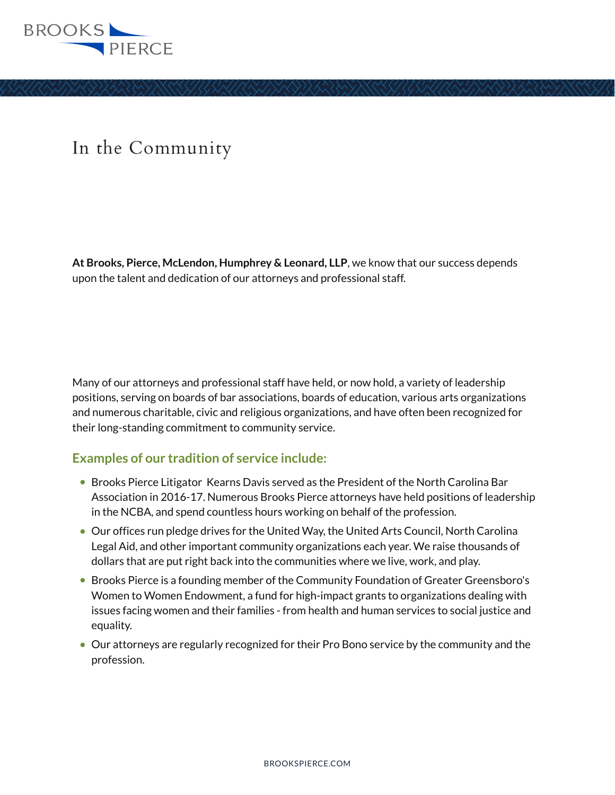

## In the Community

**At Brooks, Pierce, McLendon, Humphrey & Leonard, LLP**, we know that our success depends upon the talent and dedication of our attorneys and professional staff.

Many of our attorneys and professional staff have held, or now hold, a variety of leadership positions, serving on boards of bar associations, boards of education, various arts organizations and numerous charitable, civic and religious organizations, and have often been recognized for their long-standing commitment to community service.

## **Examples of our tradition of service include:**

- Brooks Pierce Litigator Kearns Davis served as the President of the North Carolina Bar Association in 2016-17. Numerous Brooks Pierce attorneys have held positions of leadership in the NCBA, and spend countless hours working on behalf of the profession.
- Our offices run pledge drives for the United Way, the United Arts Council, North Carolina Legal Aid, and other important community organizations each year. We raise thousands of dollars that are put right back into the communities where we live, work, and play.
- Brooks Pierce is a founding member of the Community Foundation of Greater Greensboro's Women to Women Endowment, a fund for high-impact grants to organizations dealing with issues facing women and their families - from health and human services to social justice and equality.
- Our attorneys are regularly recognized for their Pro Bono service by the community and the profession.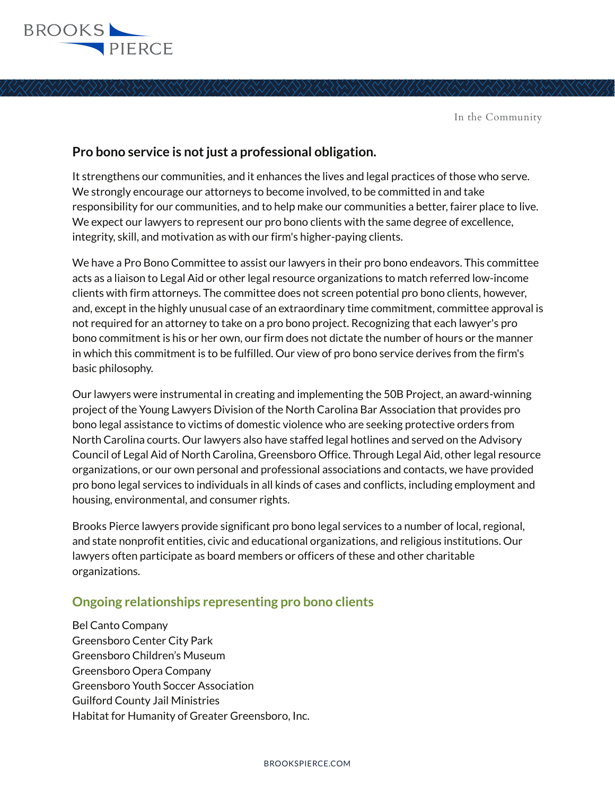

In the Community

## **Pro bono service is not just a professional obligation.**

It strengthens our communities, and it enhances the lives and legal practices of those who serve. We strongly encourage our attorneys to become involved, to be committed in and take responsibility for our communities, and to help make our communities a better, fairer place to live. We expect our lawyers to represent our pro bono clients with the same degree of excellence, integrity, skill, and motivation as with our firm's higher-paying clients.

We have a Pro Bono Committee to assist our lawyers in their pro bono endeavors. This committee acts as a liaison to Legal Aid or other legal resource organizations to match referred low-income clients with firm attorneys. The committee does not screen potential pro bono clients, however, and, except in the highly unusual case of an extraordinary time commitment, committee approval is not required for an attorney to take on a pro bono project. Recognizing that each lawyer's pro bono commitment is his or her own, our firm does not dictate the number of hours or the manner in which this commitment is to be fulfilled. Our view of pro bono service derives from the firm's basic philosophy.

Our lawyers were instrumental in creating and implementing the 50B Project, an award-winning project of the Young Lawyers Division of the North Carolina Bar Association that provides pro bono legal assistance to victims of domestic violence who are seeking protective orders from North Carolina courts. Our lawyers also have staffed legal hotlines and served on the Advisory Council of Legal Aid of North Carolina, Greensboro Office. Through Legal Aid, other legal resource organizations, or our own personal and professional associations and contacts, we have provided pro bono legal services to individuals in all kinds of cases and conflicts, including employment and housing, environmental, and consumer rights.

Brooks Pierce lawyers provide significant pro bono legal services to a number of local, regional, and state nonprofit entities, civic and educational organizations, and religious institutions. Our lawyers often participate as board members or officers of these and other charitable organizations.

## **Ongoing relationships representing pro bono clients**

Bel Canto Company Greensboro Center City Park Greensboro Children's Museum Greensboro Opera Company Greensboro Youth Soccer Association Guilford County Jail Ministries Habitat for Humanity of Greater Greensboro, Inc.